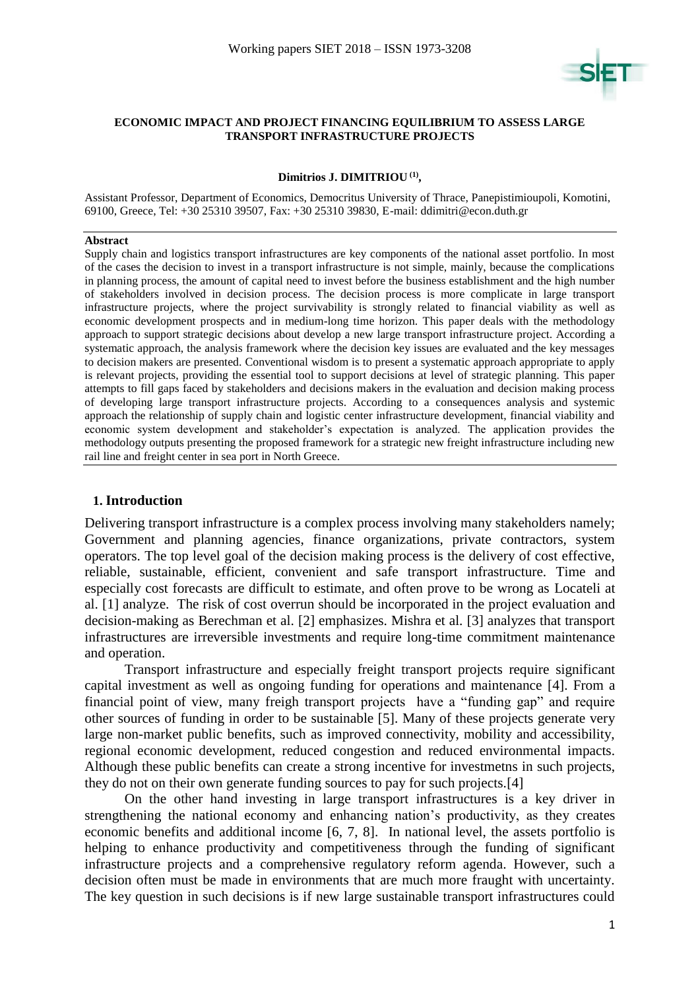

#### **ECONOMIC IMPACT AND PROJECT FINANCING EQUILIBRIUM TO ASSESS LARGE TRANSPORT INFRASTRUCTURE PROJECTS**

#### **Dimitrios J. DIMITRIOU (1) ,**

Assistant Professor, Department of Economics, Democritus University of Thrace, Panepistimioupoli, Komotini, 69100, Greece, Tel: +30 25310 39507, Fax: +30 25310 39830, E-mail: [ddimitri@econ.duth.gr](mailto:ddimitri@econ.duth.gr)

#### **Abstract**

Supply chain and logistics transport infrastructures are key components of the national asset portfolio. In most of the cases the decision to invest in a transport infrastructure is not simple, mainly, because the complications in planning process, the amount of capital need to invest before the business establishment and the high number of stakeholders involved in decision process. The decision process is more complicate in large transport infrastructure projects, where the project survivability is strongly related to financial viability as well as economic development prospects and in medium-long time horizon. This paper deals with the methodology approach to support strategic decisions about develop a new large transport infrastructure project. According a systematic approach, the analysis framework where the decision key issues are evaluated and the key messages to decision makers are presented. Conventional wisdom is to present a systematic approach appropriate to apply is relevant projects, providing the essential tool to support decisions at level of strategic planning. This paper attempts to fill gaps faced by stakeholders and decisions makers in the evaluation and decision making process of developing large transport infrastructure projects. According to a consequences analysis and systemic approach the relationship of supply chain and logistic center infrastructure development, financial viability and economic system development and stakeholder's expectation is analyzed. The application provides the methodology outputs presenting the proposed framework for a strategic new freight infrastructure including new rail line and freight center in sea port in North Greece.

#### **1. Ιntroduction**

Delivering transport infrastructure is a complex process involving many stakeholders namely; Government and planning agencies, finance organizations, private contractors, system operators. The top level goal of the decision making process is the delivery of cost effective, reliable, sustainable, efficient, convenient and safe transport infrastructure. Time and especially cost forecasts are difficult to estimate, and often prove to be wrong as Locateli at al. [1] analyze. The risk of cost overrun should be incorporated in the project evaluation and decision-making as Berechman et al. [2] emphasizes. Mishra et al. [3] analyzes that transport infrastructures are irreversible investments and require long-time commitment maintenance and operation.

Transport infrastructure and especially freight transport projects require significant capital investment as well as ongoing funding for operations and maintenance [4]. From a financial point of view, many freigh transport projects have a "funding gap" and require other sources of funding in order to be sustainable [5]. Many of these projects generate very large non-market public benefits, such as improved connectivity, mobility and accessibility, regional economic development, reduced congestion and reduced environmental impacts. Although these public benefits can create a strong incentive for investmetns in such projects, they do not on their own generate funding sources to pay for such projects.[4]

On the other hand investing in large transport infrastructures is a key driver in strengthening the national economy and enhancing nation's productivity, as they creates economic benefits and additional income [6, 7, 8]. In national level, the assets portfolio is helping to enhance productivity and competitiveness through the funding of significant infrastructure projects and a comprehensive regulatory reform agenda. However, such a decision often must be made in environments that are much more fraught with uncertainty. The key question in such decisions is if new large sustainable transport infrastructures could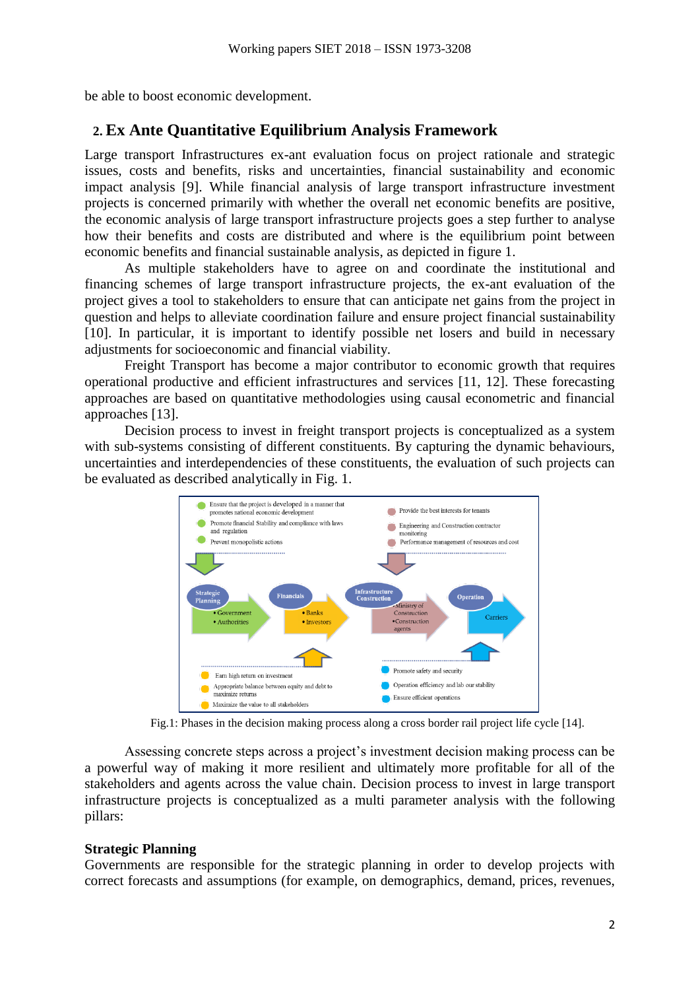be able to boost economic development.

# **2. Ex Ante Quantitative Equilibrium Analysis Framework**

Large transport Infrastructures ex-ant evaluation focus on project rationale and strategic issues, costs and benefits, risks and uncertainties, financial sustainability and economic impact analysis [9]. While financial analysis of large transport infrastructure investment projects is concerned primarily with whether the overall net economic benefits are positive, the economic analysis of large transport infrastructure projects goes a step further to analyse how their benefits and costs are distributed and where is the equilibrium point between economic benefits and financial sustainable analysis, as depicted in figure 1.

As multiple stakeholders have to agree on and coordinate the institutional and financing schemes of large transport infrastructure projects, the ex-ant evaluation of the project gives a tool to stakeholders to ensure that can anticipate net gains from the project in question and helps to alleviate coordination failure and ensure project financial sustainability [10]. In particular, it is important to identify possible net losers and build in necessary adjustments for socioeconomic and financial viability.

Freight Transport has become a major contributor to economic growth that requires operational productive and efficient infrastructures and services [11, 12]. These forecasting approaches are based on quantitative methodologies using causal econometric and financial approaches [13].

Decision process to invest in freight transport projects is conceptualized as a system with sub-systems consisting of different constituents. By capturing the dynamic behaviours, uncertainties and interdependencies of these constituents, the evaluation of such projects can be evaluated as described analytically in Fig. 1.



Fig.1: Phases in the decision making process along a cross border rail project life cycle [14].

Assessing concrete steps across a project's investment decision making process can be a powerful way of making it more resilient and ultimately more profitable for all of the stakeholders and agents across the value chain. Decision process to invest in large transport infrastructure projects is conceptualized as a multi parameter analysis with the following pillars:

#### **Strategic Planning**

Governments are responsible for the strategic planning in order to develop projects with correct forecasts and assumptions (for example, on demographics, demand, prices, revenues,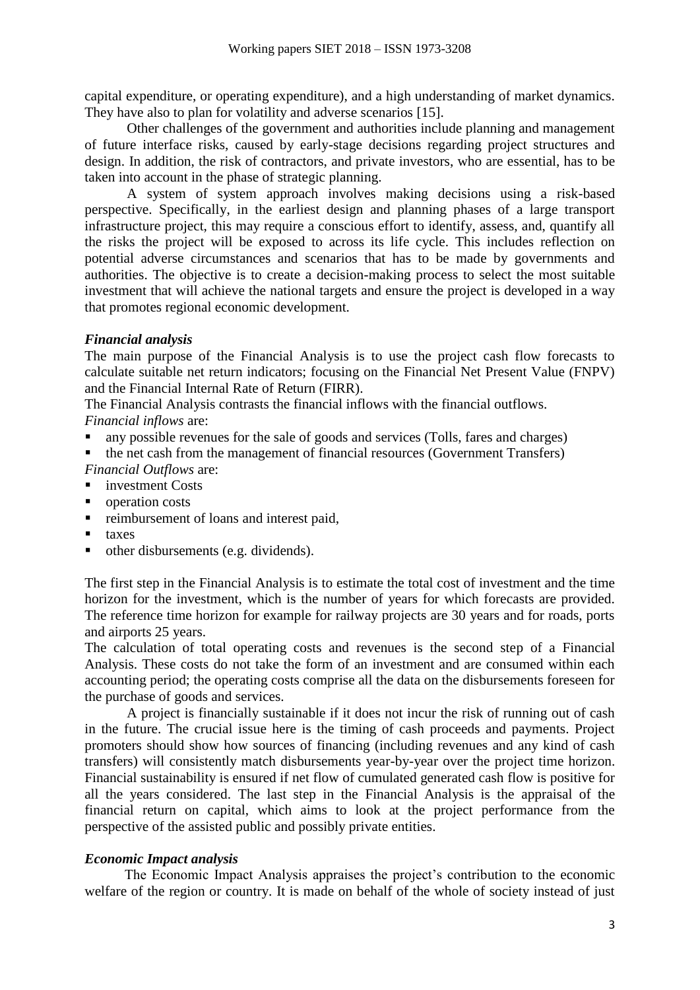capital expenditure, or operating expenditure), and a high understanding of market dynamics. They have also to plan for volatility and adverse scenarios [15].

Other challenges of the government and authorities include planning and management of future interface risks, caused by early-stage decisions regarding project structures and design. In addition, the risk of contractors, and private investors, who are essential, has to be taken into account in the phase of strategic planning.

A system of system approach involves making decisions using a risk-based perspective. Specifically, in the earliest design and planning phases of a large transport infrastructure project, this may require a conscious effort to identify, assess, and, quantify all the risks the project will be exposed to across its life cycle. This includes reflection on potential adverse circumstances and scenarios that has to be made by governments and authorities. The objective is to create a decision-making process to select the most suitable investment that will achieve the national targets and ensure the project is developed in a way that promotes regional economic development.

## *Financial analysis*

The main purpose of the Financial Analysis is to use the project cash flow forecasts to calculate suitable net return indicators; focusing on the Financial Net Present Value (FNPV) and the Financial Internal Rate of Return (FIRR).

The Financial Analysis contrasts the financial inflows with the financial outflows. *Financial inflows* are:

- any possible revenues for the sale of goods and services (Tolls, fares and charges)
- the net cash from the management of financial resources (Government Transfers)
- *Financial Outflows* are:
- investment Costs
- **•** operation costs
- **reimbursement of loans and interest paid,**
- $\blacksquare$  taxes
- other disbursements (e.g. dividends).

The first step in the Financial Analysis is to estimate the total cost of investment and the time horizon for the investment, which is the number of years for which forecasts are provided. The reference time horizon for example for railway projects are 30 years and for roads, ports and airports 25 years.

The calculation of total operating costs and revenues is the second step of a Financial Analysis. These costs do not take the form of an investment and are consumed within each accounting period; the operating costs comprise all the data on the disbursements foreseen for the purchase of goods and services.

A project is financially sustainable if it does not incur the risk of running out of cash in the future. The crucial issue here is the timing of cash proceeds and payments. Project promoters should show how sources of financing (including revenues and any kind of cash transfers) will consistently match disbursements year-by-year over the project time horizon. Financial sustainability is ensured if net flow of cumulated generated cash flow is positive for all the years considered. The last step in the Financial Analysis is the appraisal of the financial return on capital, which aims to look at the project performance from the perspective of the assisted public and possibly private entities.

## *Economic Impact analysis*

The Economic Impact Analysis appraises the project's contribution to the economic welfare of the region or country. It is made on behalf of the whole of society instead of just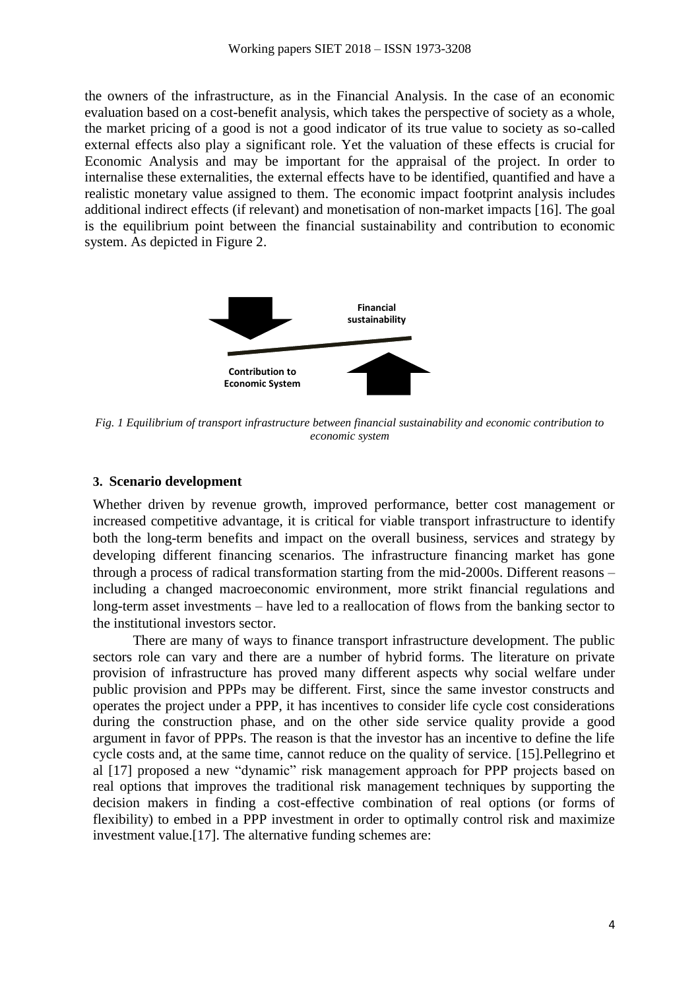the owners of the infrastructure, as in the Financial Analysis. In the case of an economic evaluation based on a cost-benefit analysis, which takes the perspective of society as a whole, the market pricing of a good is not a good indicator of its true value to society as so-called external effects also play a significant role. Yet the valuation of these effects is crucial for Economic Analysis and may be important for the appraisal of the project. In order to internalise these externalities, the external effects have to be identified, quantified and have a realistic monetary value assigned to them. The economic impact footprint analysis includes additional indirect effects (if relevant) and monetisation of non-market impacts [16]. The goal is the equilibrium point between the financial sustainability and contribution to economic system. As depicted in Figure 2.



*Fig. 1 Equilibrium of transport infrastructure between financial sustainability and economic contribution to economic system* 

#### **3. Scenario development**

Whether driven by revenue growth, improved performance, better cost management or increased competitive advantage, it is critical for viable transport infrastructure to identify both the long-term benefits and impact on the overall business, services and strategy by developing different financing scenarios. The infrastructure financing market has gone through a process of radical transformation starting from the mid-2000s. Different reasons – including a changed macroeconomic environment, more strikt financial regulations and long-term asset investments – have led to a reallocation of flows from the banking sector to the institutional investors sector.

There are many of ways to finance transport infrastructure development. The public sectors role can vary and there are a number of hybrid forms. The literature on private provision of infrastructure has proved many different aspects why social welfare under public provision and PPPs may be different. First, since the same investor constructs and operates the project under a PPP, it has incentives to consider life cycle cost considerations during the construction phase, and on the other side service quality provide a good argument in favor of PPPs. The reason is that the investor has an incentive to define the life cycle costs and, at the same time, cannot reduce on the quality of service. [15].Pellegrino et al [17] proposed a new "dynamic" risk management approach for PPP projects based on real options that improves the traditional risk management techniques by supporting the decision makers in finding a cost-effective combination of real options (or forms of flexibility) to embed in a PPP investment in order to optimally control risk and maximize investment value.[17]. The alternative funding schemes are: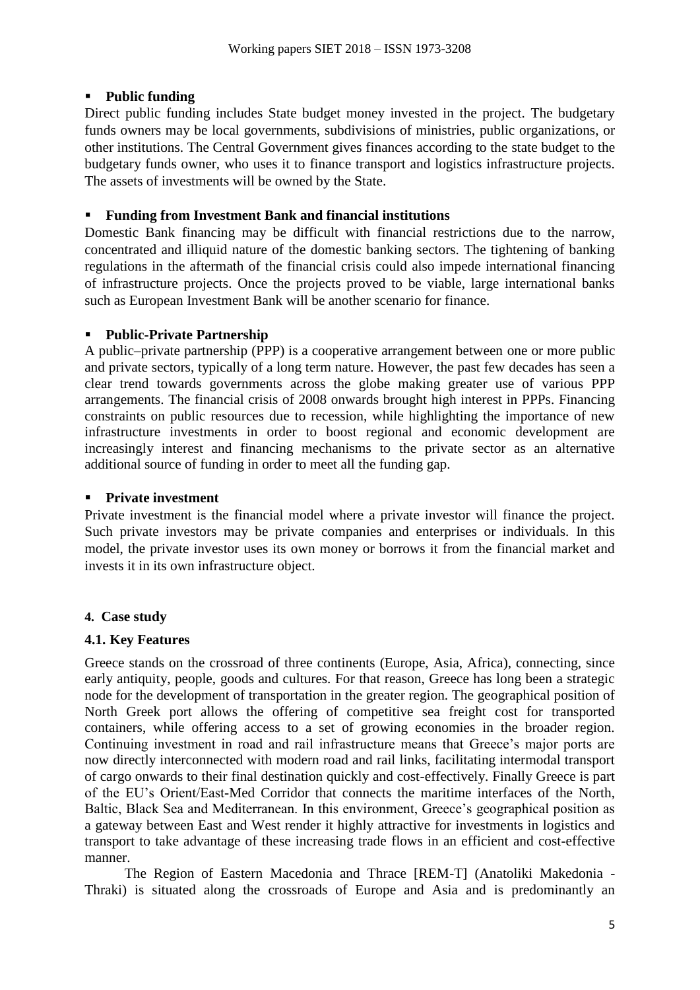# **Public funding**

Direct public funding includes State budget money invested in the project. The budgetary funds owners may be local governments, subdivisions of ministries, public organizations, or other institutions. The Central Government gives finances according to the state budget to the budgetary funds owner, who uses it to finance transport and logistics infrastructure projects. The assets of investments will be owned by the State.

# **Funding from Investment Bank and financial institutions**

Domestic Bank financing may be difficult with financial restrictions due to the narrow, concentrated and illiquid nature of the domestic banking sectors. The tightening of banking regulations in the aftermath of the financial crisis could also impede international financing of infrastructure projects. Once the projects proved to be viable, large international banks such as European Investment Bank will be another scenario for finance.

# **Public-Private Partnership**

A public–private partnership (PPP) is a cooperative arrangement between one or more public and private sectors, typically of a long term nature. However, the past few decades has seen a clear trend towards governments across the globe making greater use of various PPP arrangements. The financial crisis of 2008 onwards brought high interest in PPPs. Financing constraints on public resources due to recession, while highlighting the importance of new infrastructure investments in order to boost regional and economic development are increasingly interest and financing mechanisms to the private sector as an alternative additional source of funding in order to meet all the funding gap.

## **Private investment**

Private investment is the financial model where a private investor will finance the project. Such private investors may be private companies and enterprises or individuals. In this model, the private investor uses its own money or borrows it from the financial market and invests it in its own infrastructure object.

## **4. Case study**

## **4.1. Key Features**

Greece stands on the crossroad of three continents (Europe, Asia, Africa), connecting, since early antiquity, people, goods and cultures. For that reason, Greece has long been a strategic node for the development of transportation in the greater region. The geographical position of North Greek port allows the offering of competitive sea freight cost for transported containers, while offering access to a set of growing economies in the broader region. Continuing investment in road and rail infrastructure means that Greece's major ports are now directly interconnected with modern road and rail links, facilitating intermodal transport of cargo onwards to their final destination quickly and cost-effectively. Finally Greece is part of the EU's Orient/East-Med Corridor that connects the maritime interfaces of the North, Baltic, Black Sea and Mediterranean. In this environment, Greece's geographical position as a gateway between East and West render it highly attractive for investments in logistics and transport to take advantage of these increasing trade flows in an efficient and cost-effective manner.

The Region of Eastern Macedonia and Thrace [REM-T] (Anatoliki Makedonia - Thraki) is situated along the crossroads of Europe and Asia and is predominantly an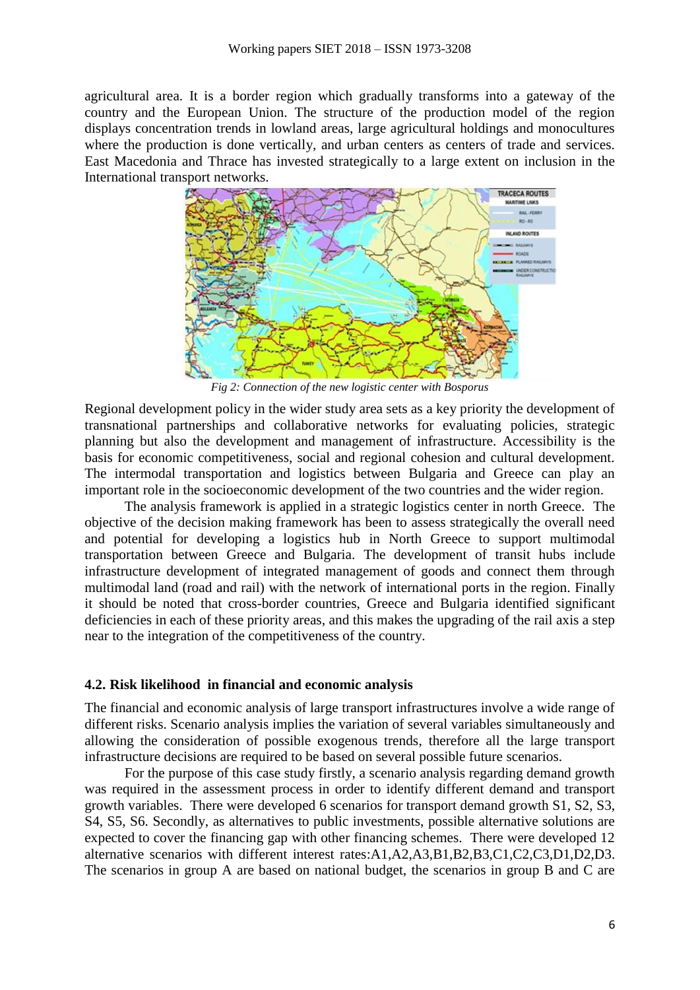agricultural area. It is a border region which gradually transforms into a gateway of the country and the European Union. The structure of the production model of the region displays concentration trends in lowland areas, large agricultural holdings and monocultures where the production is done vertically, and urban centers as centers of trade and services. East Macedonia and Thrace has invested strategically to a large extent on inclusion in the International transport networks.



*Fig 2: Connection of the new logistic center with Bosporus*

Regional development policy in the wider study area sets as a key priority the development of transnational partnerships and collaborative networks for evaluating policies, strategic planning but also the development and management of infrastructure. Accessibility is the basis for economic competitiveness, social and regional cohesion and cultural development. The intermodal transportation and logistics between Bulgaria and Greece can play an important role in the socioeconomic development of the two countries and the wider region.

The analysis framework is applied in a strategic logistics center in north Greece. The objective of the decision making framework has been to assess strategically the overall need and potential for developing a logistics hub in North Greece to support multimodal transportation between Greece and Bulgaria. The development of transit hubs include infrastructure development of integrated management of goods and connect them through multimodal land (road and rail) with the network of international ports in the region. Finally it should be noted that cross-border countries, Greece and Bulgaria identified significant deficiencies in each of these priority areas, and this makes the upgrading of the rail axis a step near to the integration of the competitiveness of the country.

#### **4.2. Risk likelihood in financial and economic analysis**

The financial and economic analysis of large transport infrastructures involve a wide range of different risks. Scenario analysis implies the variation of several variables simultaneously and allowing the consideration of possible exogenous trends, therefore all the large transport infrastructure decisions are required to be based on several possible future scenarios.

For the purpose of this case study firstly, a scenario analysis regarding demand growth was required in the assessment process in order to identify different demand and transport growth variables. There were developed 6 scenarios for transport demand growth S1, S2, S3, S4, S5, S6. Secondly, as alternatives to public investments, possible alternative solutions are expected to cover the financing gap with other financing schemes. There were developed 12 alternative scenarios with different interest rates:A1,A2,A3,B1,B2,B3,C1,C2,C3,D1,D2,D3. The scenarios in group A are based on national budget, the scenarios in group B and C are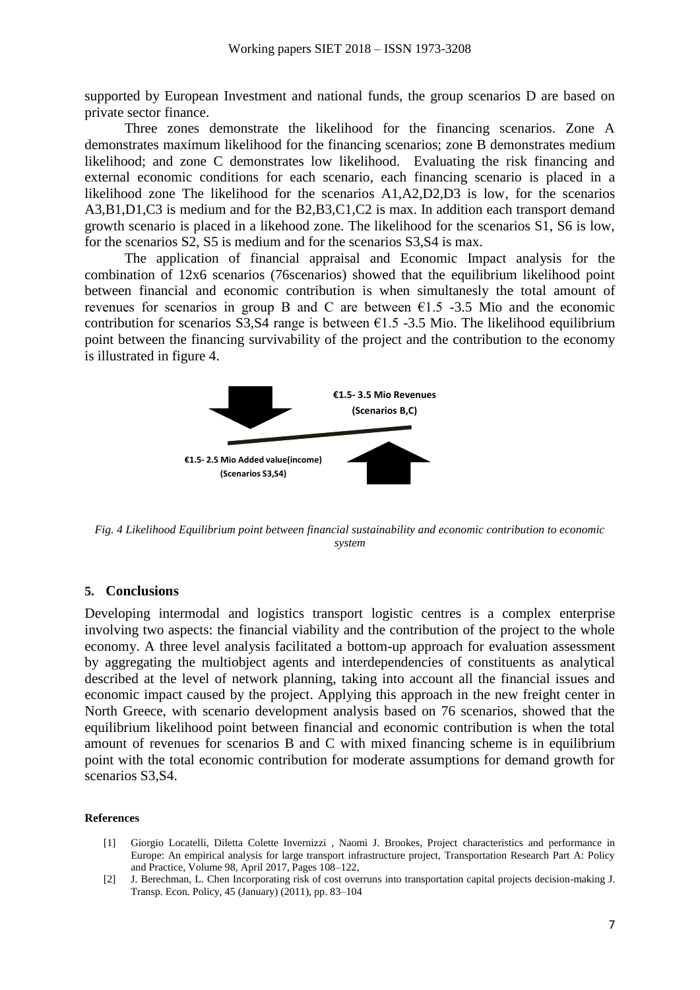supported by European Investment and national funds, the group scenarios D are based on private sector finance.

Three zones demonstrate the likelihood for the financing scenarios. Zone A demonstrates maximum likelihood for the financing scenarios; zone B demonstrates medium likelihood; and zone C demonstrates low likelihood. Evaluating the risk financing and external economic conditions for each scenario, each financing scenario is placed in a likelihood zone The likelihood for the scenarios A1,A2,D2,D3 is low, for the scenarios A3,B1,D1,C3 is medium and for the B2,B3,C1,C2 is max. In addition each transport demand growth scenario is placed in a likehood zone. The likelihood for the scenarios S1, S6 is low, for the scenarios S2, S5 is medium and for the scenarios S3,S4 is max.

The application of financial appraisal and Economic Impact analysis for the combination of 12x6 scenarios (76scenarios) showed that the equilibrium likelihood point between financial and economic contribution is when simultanesly the total amount of revenues for scenarios in group B and C are between  $\epsilon$ 1.5 -3.5 Mio and the economic contribution for scenarios S3, S4 range is between  $61.5$  -3.5 Mio. The likelihood equilibrium point between the financing survivability of the project and the contribution to the economy is illustrated in figure 4.



*Fig. 4 Likelihood Equilibrium point between financial sustainability and economic contribution to economic system* 

#### **5. Conclusions**

Developing intermodal and logistics transport logistic centres is a complex enterprise involving two aspects: the financial viability and the contribution of the project to the whole economy. A three level analysis facilitated a bottom-up approach for evaluation assessment by aggregating the multiobject agents and interdependencies of constituents as analytical described at the level of network planning, taking into account all the financial issues and economic impact caused by the project. Applying this approach in the new freight center in North Greece, with scenario development analysis based on 76 scenarios, showed that the equilibrium likelihood point between financial and economic contribution is when the total amount of revenues for scenarios B and C with mixed financing scheme is in equilibrium point with the total economic contribution for moderate assumptions for demand growth for scenarios S3,S4.

#### **References**

- [1] Giorgio Locatelli, Diletta Colette Invernizzi , Naomi J. Brookes, Project characteristics and performance in Europe: An empirical analysis for large transport infrastructure project, Transportation Research Part A: Policy and Practice, Volume 98, April 2017, Pages 108–122,
- [2] J. Berechman, L. Chen Incorporating risk of cost overruns into transportation capital projects decision-making J. Transp. Econ. Policy, 45 (January) (2011), pp. 83–104